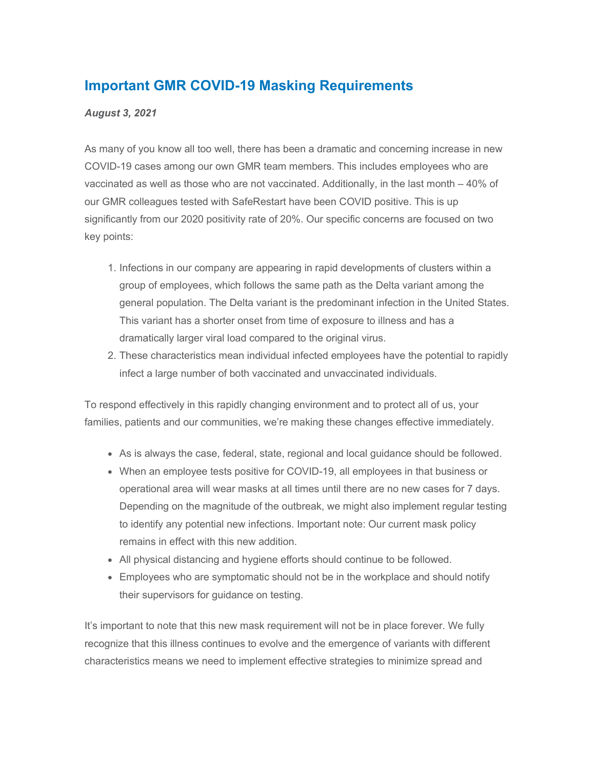## **Important GMR COVID-19 Masking Requirements**

## *August 3, 2021*

As many of you know all too well, there has been a dramatic and concerning increase in new COVID-19 cases among our own GMR team members. This includes employees who are vaccinated as well as those who are not vaccinated. Additionally, in the last month – 40% of our GMR colleagues tested with SafeRestart have been COVID positive. This is up significantly from our 2020 positivity rate of 20%. Our specific concerns are focused on two key points:

- 1. Infections in our company are appearing in rapid developments of clusters within a group of employees, which follows the same path as the Delta variant among the general population. The Delta variant is the predominant infection in the United States. This variant has a shorter onset from time of exposure to illness and has a dramatically larger viral load compared to the original virus.
- 2. These characteristics mean individual infected employees have the potential to rapidly infect a large number of both vaccinated and unvaccinated individuals.

To respond effectively in this rapidly changing environment and to protect all of us, your families, patients and our communities, we're making these changes effective immediately.

- As is always the case, federal, state, regional and local guidance should be followed.
- When an employee tests positive for COVID-19, all employees in that business or operational area will wear masks at all times until there are no new cases for 7 days. Depending on the magnitude of the outbreak, we might also implement regular testing to identify any potential new infections. Important note: Our current mask policy remains in effect with this new addition.
- All physical distancing and hygiene efforts should continue to be followed.
- Employees who are symptomatic should not be in the workplace and should notify their supervisors for guidance on testing.

It's important to note that this new mask requirement will not be in place forever. We fully recognize that this illness continues to evolve and the emergence of variants with different characteristics means we need to implement effective strategies to minimize spread and